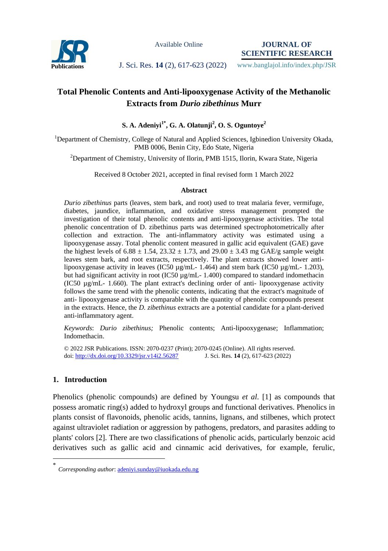

Available Online

**JOURNAL OF SCIENTIFIC RESEARCH**

**Publications J. Sci. Res. 14** (2), 617-623 (2022) www.banglajol.info/index.php/JSR

# **Total Phenolic Contents and Anti-lipooxygenase Activity of the Methanolic Extracts from** *Durio zibethinus* **Murr**

**S. A. Adeniyi1\* , G. A. Olatunji<sup>2</sup> , O. S. Oguntoye<sup>2</sup>**

<sup>1</sup>Department of Chemistry, College of Natural and Applied Sciences, Igbinedion University Okada, PMB 0006, Benin City, Edo State, Nigeria

<sup>2</sup>Department of Chemistry, University of Ilorin, PMB 1515, Ilorin, Kwara State, Nigeria

Received 8 October 2021, accepted in final revised form 1 March 2022

### **Abstract**

*Durio zibethinus* parts (leaves, stem bark, and root) used to treat malaria fever, vermifuge, diabetes, jaundice, inflammation, and oxidative stress management prompted the investigation of their total phenolic contents and anti-lipooxygenase activities. The total phenolic concentration of D. zibethinus parts was determined spectrophotometrically after collection and extraction. The anti-inflammatory activity was estimated using a lipooxygenase assay. Total phenolic content measured in gallic acid equivalent (GAE) gave the highest levels of 6.88  $\pm$  1.54, 23.32  $\pm$  1.73, and 29.00  $\pm$  3.43 mg GAE/g sample weight leaves stem bark, and root extracts, respectively. The plant extracts showed lower antilipooxygenase activity in leaves (IC50 µg/mL- 1.464) and stem bark (IC50 µg/mL- 1.203), but had significant activity in root (IC50 µg/mL- 1.400) compared to standard indomethacin (IC50 µg/mL- 1.660). The plant extract's declining order of anti- lipooxygenase activity follows the same trend with the phenolic contents, indicating that the extract's magnitude of anti- lipooxygenase activity is comparable with the quantity of phenolic compounds present in the extracts. Hence, the *D. zibethinus* extracts are a potential candidate for a plant-derived anti-inflammatory agent.

*Keywords*: *Durio zibethinus;* Phenolic contents; Anti-lipooxygenase; Inflammation; Indomethacin.

© 2022 JSR Publications. ISSN: 2070-0237 (Print); 2070-0245 (Online). All rights reserved. doi:<http://dx.doi.org/10.3329/jsr.v14i2.56287>J. Sci. Res. **14** (2), 617-623 (2022)

## **1. Introduction**

 $\overline{a}$ 

Phenolics (phenolic compounds) are defined by Youngsu *et al*. [1] as compounds that possess aromatic ring(s) added to hydroxyl groups and functional derivatives. Phenolics in plants consist of flavonoids, phenolic acids, tannins, lignans, and stilbenes, which protect against ultraviolet radiation or aggression by pathogens, predators, and parasites adding to plants' colors [2]. There are two classifications of phenolic acids, particularly benzoic acid derivatives such as gallic acid and cinnamic acid derivatives, for example, ferulic,

<sup>\*</sup> *Corresponding author*[: adeniyi.sunday@iuokada.edu.ng](mailto:adeniyi.sunday@iuokada.edu.ng)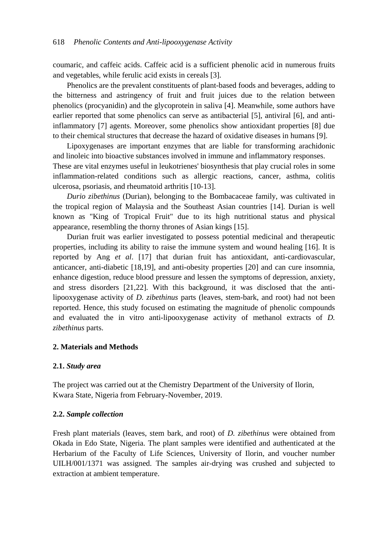coumaric, and caffeic acids. Caffeic acid is a sufficient phenolic acid in numerous fruits and vegetables, while ferulic acid exists in cereals [3].

Phenolics are the prevalent constituents of plant-based foods and beverages, adding to the bitterness and astringency of fruit and fruit juices due to the relation between phenolics (procyanidin) and the glycoprotein in saliva [4]. Meanwhile, some authors have earlier reported that some phenolics can serve as antibacterial [5], antiviral [6], and antiinflammatory [7] agents. Moreover, some phenolics show antioxidant properties [8] due to their chemical structures that decrease the hazard of oxidative diseases in humans [9].

 Lipoxygenases are important enzymes that are liable for transforming arachidonic and linoleic into bioactive substances involved in immune and inflammatory responses.

These are vital enzymes useful in leukotrienes' biosynthesis that play crucial roles in some inflammation-related conditions such as allergic reactions, cancer, asthma, colitis ulcerosa, psoriasis, and rheumatoid arthritis [10-13].

 *Durio zibethinus* (Durian), belonging to the Bombacaceae family, was cultivated in the tropical region of Malaysia and the Southeast Asian countries [14]. Durian is well known as "King of Tropical Fruit" due to its high nutritional status and physical appearance, resembling the thorny thrones of Asian kings [15].

Durian fruit was earlier investigated to possess potential medicinal and therapeutic properties, including its ability to raise the immune system and wound healing [16]. It is reported by Ang *et al*. [17] that durian fruit has antioxidant, anti-cardiovascular, anticancer, anti-diabetic [18,19], and anti-obesity properties [20] and can cure insomnia, enhance digestion, reduce blood pressure and lessen the symptoms of depression, anxiety, and stress disorders [21,22]. With this background, it was disclosed that the antilipooxygenase activity of *D. zibethinus* parts (leaves, stem-bark, and root) had not been reported. Hence, this study focused on estimating the magnitude of phenolic compounds and evaluated the in vitro anti-lipooxygenase activity of methanol extracts of *D. zibethinus* parts.

## **2. Materials and Methods**

## **2.1.** *Study area*

The project was carried out at the Chemistry Department of the University of Ilorin, Kwara State, Nigeria from February-November, 2019.

### **2.2.** *Sample collection*

Fresh plant materials (leaves, stem bark, and root) of *D. zibethinus* were obtained from Okada in Edo State, Nigeria. The plant samples were identified and authenticated at the Herbarium of the Faculty of Life Sciences, University of Ilorin, and voucher number UILH/001/1371 was assigned. The samples air-drying was crushed and subjected to extraction at ambient temperature.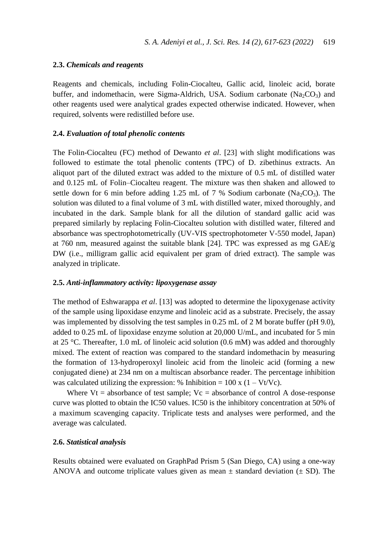## **2.3.** *Chemicals and reagents*

Reagents and chemicals, including Folin-Ciocalteu, Gallic acid, linoleic acid, borate buffer, and indomethacin, were Sigma-Aldrich, USA. Sodium carbonate  $(N_a$ <sub>2</sub>CO<sub>3</sub>) and other reagents used were analytical grades expected otherwise indicated. However, when required, solvents were redistilled before use.

### **2.4.** *Evaluation of total phenolic contents*

The Folin-Ciocalteu (FC) method of Dewanto *et al*. [23] with slight modifications was followed to estimate the total phenolic contents (TPC) of D. zibethinus extracts. An aliquot part of the diluted extract was added to the mixture of 0.5 mL of distilled water and 0.125 mL of Folin–Ciocalteu reagent. The mixture was then shaken and allowed to settle down for 6 min before adding 1.25 mL of 7 % Sodium carbonate (Na<sub>2</sub>CO<sub>3</sub>). The solution was diluted to a final volume of 3 mL with distilled water, mixed thoroughly, and incubated in the dark. Sample blank for all the dilution of standard gallic acid was prepared similarly by replacing Folin-Ciocalteu solution with distilled water, filtered and absorbance was spectrophotometrically (UV-VIS spectrophotometer V-550 model, Japan) at 760 nm, measured against the suitable blank [24]. TPC was expressed as mg  $GAE/g$ DW (i.e., milligram gallic acid equivalent per gram of dried extract). The sample was analyzed in triplicate.

### **2.5.** *Anti-inflammatory activity: lipoxygenase assay*

The method of Eshwarappa *et al*. [13] was adopted to determine the lipoxygenase activity of the sample using lipoxidase enzyme and linoleic acid as a substrate. Precisely, the assay was implemented by dissolving the test samples in 0.25 mL of 2 M borate buffer (pH 9.0), added to 0.25 mL of lipoxidase enzyme solution at 20,000 U/mL, and incubated for 5 min at 25 °C. Thereafter, 1.0 mL of linoleic acid solution  $(0.6 \text{ mM})$  was added and thoroughly mixed. The extent of reaction was compared to the standard indomethacin by measuring the formation of 13-hydroperoxyl linoleic acid from the linoleic acid (forming a new conjugated diene) at 234 nm on a multiscan absorbance reader. The percentage inhibition was calculated utilizing the expression: % Inhibition =  $100 \times (1 - Vt/Vc)$ .

Where  $Vt =$  absorbance of test sample;  $Vc =$  absorbance of control A dose-response curve was plotted to obtain the IC50 values. IC50 is the inhibitory concentration at 50% of a maximum scavenging capacity. Triplicate tests and analyses were performed, and the average was calculated.

### **2.6.** *Statistical analysis*

Results obtained were evaluated on GraphPad Prism 5 (San Diego, CA) using a one-way ANOVA and outcome triplicate values given as mean  $\pm$  standard deviation ( $\pm$  SD). The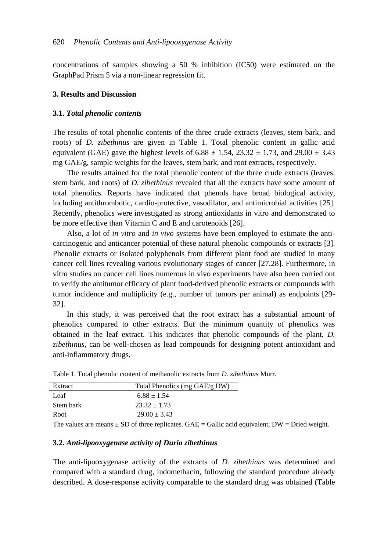concentrations of samples showing a 50 % inhibition (IC50) were estimated on the GraphPad Prism 5 via a non-linear regression fit.

### **3. Results and Discussion**

#### **3.1.** *Total phenolic contents*

The results of total phenolic contents of the three crude extracts (leaves, stem bark, and roots) of *D. zibethinus* are given in Table 1. Total phenolic content in gallic acid equivalent (GAE) gave the highest levels of  $6.88 \pm 1.54$ ,  $23.32 \pm 1.73$ , and  $29.00 \pm 3.43$ mg GAE/g, sample weights for the leaves, stem bark, and root extracts, respectively.

 The results attained for the total phenolic content of the three crude extracts (leaves, stem bark, and roots) of *D. zibethinus* revealed that all the extracts have some amount of total phenolics. Reports have indicated that phenols have broad biological activity, including antithrombotic, cardio-protective, vasodilator, and antimicrobial activities [25]. Recently, phenolics were investigated as strong antioxidants in vitro and demonstrated to be more effective than Vitamin C and E and carotenoids [26].

 Also, a lot of *in vitro* and *in vivo* systems have been employed to estimate the anticarcinogenic and anticancer potential of these natural phenolic compounds or extracts [3]. Phenolic extracts or isolated polyphenols from different plant food are studied in many cancer cell lines revealing various evolutionary stages of cancer [27,28]. Furthermore, in vitro studies on cancer cell lines numerous in vivo experiments have also been carried out to verify the antitumor efficacy of plant food-derived phenolic extracts or compounds with tumor incidence and multiplicity (e.g., number of tumors per animal) as endpoints [29- 32].

 In this study, it was perceived that the root extract has a substantial amount of phenolics compared to other extracts. But the minimum quantity of phenolics was obtained in the leaf extract. This indicates that phenolic compounds of the plant, *D. zibethinus*, can be well-chosen as lead compounds for designing potent antioxidant and anti-inflammatory drugs.

| Extract   | Total Phenolics (mg GAE/g DW) |  |  |  |
|-----------|-------------------------------|--|--|--|
| Leaf      | $6.88 + 1.54$                 |  |  |  |
| Stem bark | $23.32 + 1.73$                |  |  |  |
| Root      | $29.00 + 3.43$                |  |  |  |

Table 1. Total phenolic content of methanolic extracts from *D. zibethinus* Murr.

The values are means ± SD of three replicates. GAE **=** Gallic acid equivalent, DW = Dried weight.

#### **3.2.** *Anti-lipooxygenase activity of Durio zibethinus*

The anti-lipooxygenase activity of the extracts of *D. zibethinus* was determined and compared with a standard drug, indomethacin, following the standard procedure already described. A dose-response activity comparable to the standard drug was obtained (Table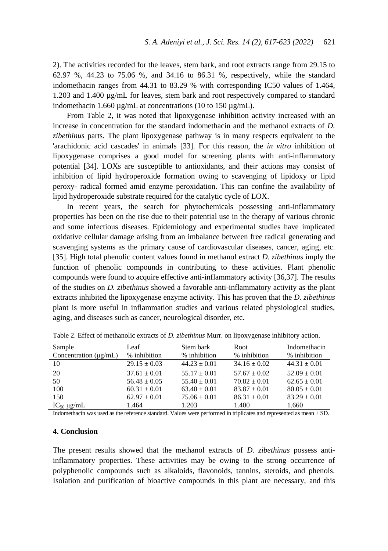2). The activities recorded for the leaves, stem bark, and root extracts range from 29.15 to 62.97 %, 44.23 to 75.06 %, and 34.16 to 86.31 %, respectively, while the standard indomethacin ranges from 44.31 to 83.29 % with corresponding IC50 values of 1.464, 1.203 and 1.400 µg/mL for leaves, stem bark and root respectively compared to standard indomethacin 1.660  $\mu$ g/mL at concentrations (10 to 150  $\mu$ g/mL).

 From Table 2, it was noted that lipoxygenase inhibition activity increased with an increase in concentration for the standard indomethacin and the methanol extracts of *D. zibethinus* parts. The plant lipoxygenase pathway is in many respects equivalent to the 'arachidonic acid cascades' in animals [33]. For this reason, the *in vitro* inhibition of lipoxygenase comprises a good model for screening plants with anti-inflammatory potential [34]. LOXs are susceptible to antioxidants, and their actions may consist of inhibition of lipid hydroperoxide formation owing to scavenging of lipidoxy or lipid peroxy- radical formed amid enzyme peroxidation. This can confine the availability of lipid hydroperoxide substrate required for the catalytic cycle of LOX.

 In recent years, the search for phytochemicals possessing anti-inflammatory properties has been on the rise due to their potential use in the therapy of various chronic and some infectious diseases. Epidemiology and experimental studies have implicated oxidative cellular damage arising from an imbalance between free radical generating and scavenging systems as the primary cause of cardiovascular diseases, cancer, aging, etc. [35]. High total phenolic content values found in methanol extract *D. zibethinus* imply the function of phenolic compounds in contributing to these activities. Plant phenolic compounds were found to acquire effective anti-inflammatory activity [36,37]. The results of the studies on *D. zibethinus* showed a favorable anti-inflammatory activity as the plant extracts inhibited the lipoxygenase enzyme activity. This has proven that the *D. zibethinus* plant is more useful in inflammation studies and various related physiological studies, aging, and diseases such as cancer, neurological disorder, etc.

| Sample<br>Concentration $(\mu g/mL)$ | Leaf<br>% inhibition | Stem bark<br>% inhibition | Root<br>% inhibition | Indomethacin<br>% inhibition |
|--------------------------------------|----------------------|---------------------------|----------------------|------------------------------|
| 10                                   | $29.15 \pm 0.03$     | $44.23 + 0.01$            | $34.16 + 0.02$       | $44.31 + 0.01$               |
| 20                                   | $37.61 + 0.01$       | $55.17 + 0.01$            | $57.67 + 0.02$       | $52.09 + 0.01$               |
| 50                                   | $56.48 + 0.05$       | $55.40 + 0.01$            | $70.82 + 0.01$       | $62.65 \pm 0.01$             |
| 100                                  | $60.31 + 0.01$       | $63.40 + 0.01$            | $83.87 + 0.01$       | $80.05 + 0.01$               |
| 150                                  | $62.97 + 0.01$       | $75.06 + 0.01$            | $86.31 \pm 0.01$     | $83.29 + 0.01$               |
| $IC_{50} \mu g/mL$                   | 1.464                | 1.203                     | 1.400                | 1.660                        |

Table 2. Effect of methanolic extracts of *D. zibethinus* Murr. on lipoxygenase inhibitory action.

Indomethacin was used as the reference standard. Values were performed in triplicates and represented as mean ± SD.

#### **4. Conclusion**

The present results showed that the methanol extracts of *D. zibethinus* possess antiinflammatory properties. These activities may be owing to the strong occurrence of polyphenolic compounds such as alkaloids, flavonoids, tannins, steroids, and phenols. Isolation and purification of bioactive compounds in this plant are necessary, and this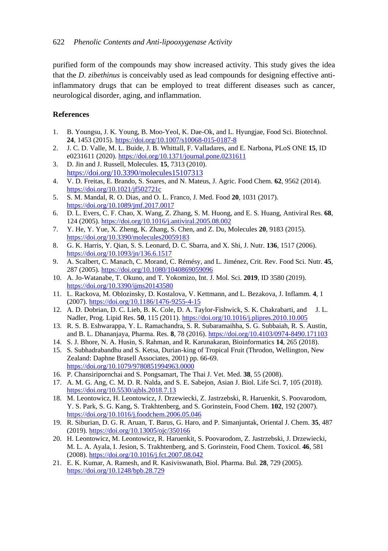purified form of the compounds may show increased activity. This study gives the idea that the *D. zibethinus* is conceivably used as lead compounds for designing effective antiinflammatory drugs that can be employed to treat different diseases such as cancer, neurological disorder, aging, and inflammation.

# **References**

- 1. B. Youngsu, J. K. Young, B. Moo-Yeol, K. Dae-Ok, and L. Hyungjae, Food Sci. Biotechnol. **24**, 1453 (2015)[. https://doi.org/10.1007/s10068-015-0187-8](https://doi.org/10.1007/s10068-015-0187-8)
- 2. J. C. D. Valle, M. L. Buide, J. B. Whittall, F. Valladares, and E. Narbona, PLoS ONE **15**, ID e0231611 (2020)[. https://doi.org/10.1371/journal.pone.0231611](https://doi.org/10.1371/journal.pone.0231611)
- 3. D. Jin and J. Russell, Molecules. **15**, 7313 (2010). <https://doi.org/10.3390/molecules15107313>
- 4. V. D. Freitas, E. Brando, S. Soares, and N. Mateus, J. Agric. Food Chem. **62**, 9562 (2014). <https://doi.org/10.1021/jf502721c>
- 5. S. M. Mandal, R. O. Dias, and O. L. Franco, J. Med. Food **20**, 1031 (2017). <https://doi.org/10.1089/jmf.2017.0017>
- 6. D. L. Evers, C. F. Chao, X. Wang, Z. Zhang, S. M. Huong, and E. S. Huang, Antiviral Res. **68**, 124 (2005)[. https://doi.org/10.1016/j.antiviral.2005.08.002](https://doi.org/10.1016/j.antiviral.2005.08.002)
- 7. Y. He, Y. Yue, X. Zheng, K. Zhang, S. Chen, and Z. Du, Molecules **20**, 9183 (2015). <https://doi.org/10.3390/molecules20059183>
- 8. G. K. Harris, Y. Qian, S. S. Leonard, D. C. Sbarra, and X. Shi, J. Nutr. **136**, 1517 (2006). <https://doi.org/10.1093/jn/136.6.1517>
- 9. A. Scalbert, C. Manach, C. Morand, C. Rémésy, and L. Jiménez, Crit. Rev. Food Sci. Nutr. **45**, 287 (2005)[. https://doi.org/10.1080/1040869059096](https://doi.org/10.1080/1040869059096)
- 10. A. Jo-Watanabe, T. Okuno, and T. Yokomizo, Int. J. Mol. Sci. **2019**, ID 3580 (2019). <https://doi.org/10.3390/ijms20143580>
- 11. L. Rackova, M. Oblozinsky, D. Kostalova, V. Kettmann, and L. Bezakova, J. Inflamm. **4**, 1 (2007)[. https://doi.org/10.1186/1476-9255-4-15](https://doi.org/10.1186/1476-9255-4-15)
- 12. A. D. Dobrian, D. C. Lieb, B. K. Cole, D. A. Taylor-Fishwick, S. K. Chakrabarti, and J. L. Nadler, Prog. Lipid Res. **50**, 115 (2011).<https://doi.org/10.1016/j.plipres.2010.10.005>
- 13. R. S. B. Eshwarappa, Y. L. Ramachandra, S. R. Subaramaihha, S. G. Subbaiah, R. S. Austin, and B. L. Dhananjaya, Pharma. Res. **8**, 78 (2016).<https://doi.org/10.4103/0974-8490.171103>
- 14. S. J. Bhore, N. A. Husin, S. Rahman, and R. Karunakaran, Bioinformatics **14**, 265 (2018).
- 15. S. Subhadrabandhu and S. Ketsa, Durian-king of Tropical Fruit (Throdon, Wellington, New Zealand: Daphne Brasell Associates, 2001) pp. 66-69. <https://doi.org/10.1079/9780851994963.0000>
- 16. P. Chansiripornchai and S. Pongsamart, The Thai J. Vet. Med. **38**, 55 (2008).
- 17. A. M. G. Ang, C. M. D. R. Nalda, and S. E. Sabejon, Asian J. Biol. Life Sci. **7**, 105 (2018). <https://doi.org/10.5530/ajbls.2018.7.13>
- 18. M. Leontowicz, H. Leontowicz, J. Drzewiecki, Z. Jastrzebski, R. Haruenkit, S. Poovarodom, Y. S. Park, S. G. Kang, S. Trakhtenberg, and S. Gorinstein, Food Chem. **102**, 192 (2007). <https://doi.org/10.1016/j.foodchem.2006.05.046>
- 19. R. Siburian, D. G. R. Aruan, T. Barus, G. Haro, and P. Simanjuntak, Oriental J. Chem. **35**, 487 (2019)[. https://doi.org/10.13005/ojc/350166](https://doi.org/10.13005/ojc/350166)
- 20. H. Leontowicz, M. Leontowicz, R. Haruenkit, S. Poovarodom, Z. Jastrzebski, J. Drzewiecki, M. L. A. Ayala, I. Jesion, S. Trakhtenberg, and S. Gorinstein, Food Chem. Toxicol. **46**, 581 (2008)[. https://doi.org/10.1016/j.fct.2007.08.042](https://doi.org/10.1016/j.fct.2007.08.042)
- 21. E. K. Kumar, A. Ramesh, and R. Kasiviswanath, Biol. Pharma. Bul. **28**, 729 (2005). <https://doi.org/10.1248/bpb.28.729>